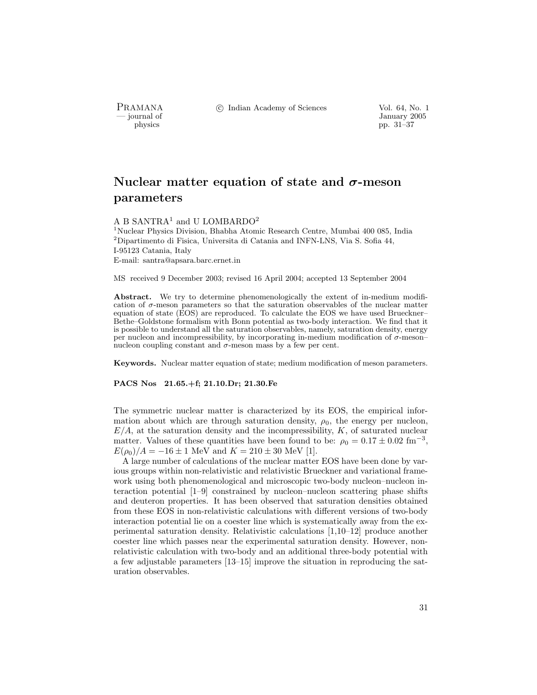PRAMANA °c Indian Academy of Sciences Vol. 64, No. 1

January 2005<br>
physics<br>
pp. 31–37 pp. 31–37

# Nuclear matter equation of state and  $\sigma$ -meson parameters

## A B SANTRA<sup>1</sup> and U LOMBARDO<sup>2</sup>

<sup>1</sup>Nuclear Physics Division, Bhabha Atomic Research Centre, Mumbai 400 085, India  $2$ Dipartimento di Fisica, Universita di Catania and INFN-LNS, Via S. Sofia 44, I-95123 Catania, Italy E-mail: santra@apsara.barc.ernet.in

MS received 9 December 2003; revised 16 April 2004; accepted 13 September 2004

Abstract. We try to determine phenomenologically the extent of in-medium modification of  $\sigma$ -meson parameters so that the saturation observables of the nuclear matter equation of state (EOS) are reproduced. To calculate the EOS we have used Brueckner– Bethe–Goldstone formalism with Bonn potential as two-body interaction. We find that it is possible to understand all the saturation observables, namely, saturation density, energy per nucleon and incompressibility, by incorporating in-medium modification of σ-meson– nucleon coupling constant and  $\sigma$ -meson mass by a few per cent.

Keywords. Nuclear matter equation of state; medium modification of meson parameters.

PACS Nos 21.65.+f; 21.10.Dr; 21.30.Fe

The symmetric nuclear matter is characterized by its EOS, the empirical information about which are through saturation density,  $\rho_0$ , the energy per nucleon,  $E/A$ , at the saturation density and the incompressibility,  $K$ , of saturated nuclear matter. Values of these quantities have been found to be:  $\rho_0 = 0.17 \pm 0.02$  fm<sup>-3</sup>,  $E(\rho_0)/A = -16 \pm 1$  MeV and  $K = 210 \pm 30$  MeV [1].

A large number of calculations of the nuclear matter EOS have been done by various groups within non-relativistic and relativistic Brueckner and variational framework using both phenomenological and microscopic two-body nucleon–nucleon interaction potential [1–9] constrained by nucleon–nucleon scattering phase shifts and deuteron properties. It has been observed that saturation densities obtained from these EOS in non-relativistic calculations with different versions of two-body interaction potential lie on a coester line which is systematically away from the experimental saturation density. Relativistic calculations [1,10–12] produce another coester line which passes near the experimental saturation density. However, nonrelativistic calculation with two-body and an additional three-body potential with a few adjustable parameters [13–15] improve the situation in reproducing the saturation observables.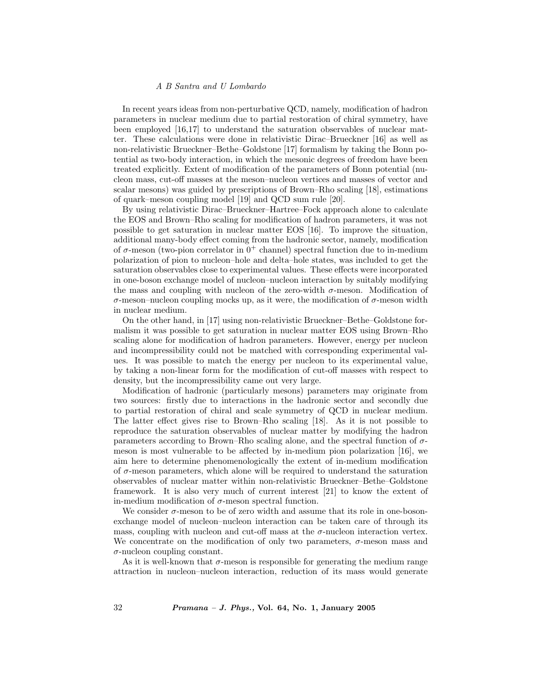#### A B Santra and U Lombardo

In recent years ideas from non-perturbative QCD, namely, modification of hadron parameters in nuclear medium due to partial restoration of chiral symmetry, have been employed [16,17] to understand the saturation observables of nuclear matter. These calculations were done in relativistic Dirac–Brueckner [16] as well as non-relativistic Brueckner–Bethe–Goldstone [17] formalism by taking the Bonn potential as two-body interaction, in which the mesonic degrees of freedom have been treated explicitly. Extent of modification of the parameters of Bonn potential (nucleon mass, cut-off masses at the meson–nucleon vertices and masses of vector and scalar mesons) was guided by prescriptions of Brown–Rho scaling [18], estimations of quark–meson coupling model [19] and QCD sum rule [20].

By using relativistic Dirac–Brueckner–Hartree–Fock approach alone to calculate the EOS and Brown–Rho scaling for modification of hadron parameters, it was not possible to get saturation in nuclear matter EOS [16]. To improve the situation, additional many-body effect coming from the hadronic sector, namely, modification of  $\sigma$ -meson (two-pion correlator in  $0^+$  channel) spectral function due to in-medium polarization of pion to nucleon–hole and delta–hole states, was included to get the saturation observables close to experimental values. These effects were incorporated in one-boson exchange model of nucleon–nucleon interaction by suitably modifying the mass and coupling with nucleon of the zero-width  $\sigma$ -meson. Modification of σ-meson–nucleon coupling mocks up, as it were, the modification of σ-meson width in nuclear medium.

On the other hand, in [17] using non-relativistic Brueckner–Bethe–Goldstone formalism it was possible to get saturation in nuclear matter EOS using Brown–Rho scaling alone for modification of hadron parameters. However, energy per nucleon and incompressibility could not be matched with corresponding experimental values. It was possible to match the energy per nucleon to its experimental value, by taking a non-linear form for the modification of cut-off masses with respect to density, but the incompressibility came out very large.

Modification of hadronic (particularly mesons) parameters may originate from two sources: firstly due to interactions in the hadronic sector and secondly due to partial restoration of chiral and scale symmetry of QCD in nuclear medium. The latter effect gives rise to Brown–Rho scaling [18]. As it is not possible to reproduce the saturation observables of nuclear matter by modifying the hadron parameters according to Brown–Rho scaling alone, and the spectral function of  $\sigma$ meson is most vulnerable to be affected by in-medium pion polarization [16], we aim here to determine phenomenologically the extent of in-medium modification of  $\sigma$ -meson parameters, which alone will be required to understand the saturation observables of nuclear matter within non-relativistic Brueckner–Bethe–Goldstone framework. It is also very much of current interest [21] to know the extent of in-medium modification of  $\sigma$ -meson spectral function.

We consider  $\sigma$ -meson to be of zero width and assume that its role in one-bosonexchange model of nucleon–nucleon interaction can be taken care of through its mass, coupling with nucleon and cut-off mass at the  $\sigma$ -nucleon interaction vertex. We concentrate on the modification of only two parameters,  $\sigma$ -meson mass and  $\sigma$ -nucleon coupling constant.

As it is well-known that  $\sigma$ -meson is responsible for generating the medium range attraction in nucleon–nucleon interaction, reduction of its mass would generate

 $32$  *Pramana – J. Phys.*, Vol. 64, No. 1, January 2005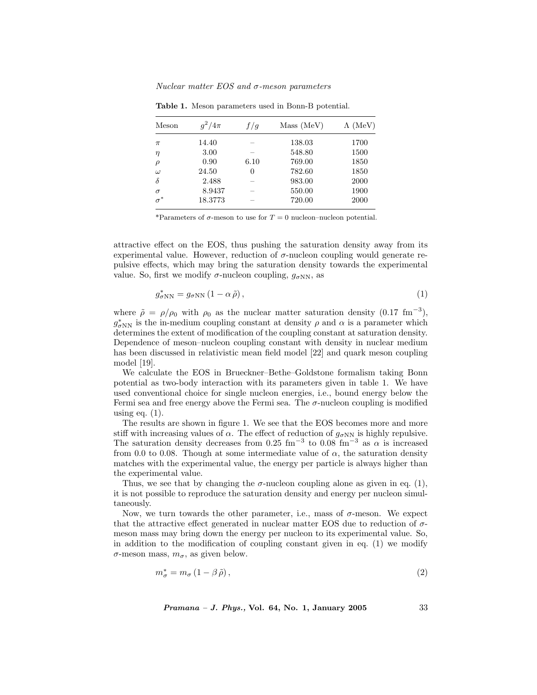Nuclear matter  $EOS$  and  $\sigma$ -meson parameters

| Meson      | $g^2/4\pi$ | f/q  | Mass (MeV) | $\Lambda$ (MeV) |
|------------|------------|------|------------|-----------------|
| $\pi$      | 14.40      |      | 138.03     | 1700            |
| $\eta$     | 3.00       |      | 548.80     | 1500            |
| $\rho$     | 0.90       | 6.10 | 769.00     | 1850            |
| $\omega$   | 24.50      | 0    | 782.60     | 1850            |
| $\delta$   | 2.488      |      | 983.00     | 2000            |
| $\sigma$   | 8.9437     |      | 550.00     | 1900            |
| $\sigma^*$ | 18.3773    |      | 720.00     | 2000            |

Table 1. Meson parameters used in Bonn-B potential.

\*Parameters of  $\sigma$ -meson to use for  $T = 0$  nucleon–nucleon potential.

attractive effect on the EOS, thus pushing the saturation density away from its experimental value. However, reduction of  $\sigma$ -nucleon coupling would generate repulsive effects, which may bring the saturation density towards the experimental value. So, first we modify  $\sigma$ -nucleon coupling,  $g_{\sigma NN}$ , as

$$
g_{\sigma NN}^* = g_{\sigma NN} \left( 1 - \alpha \tilde{\rho} \right),\tag{1}
$$

where  $\tilde{\rho} = \rho/\rho_0$  with  $\rho_0$  as the nuclear matter saturation density (0.17 fm<sup>-3</sup>),  $g_{\sigma NN}^*$  is the in-medium coupling constant at density  $\rho$  and  $\alpha$  is a parameter which determines the extent of modification of the coupling constant at saturation density. Dependence of meson–nucleon coupling constant with density in nuclear medium has been discussed in relativistic mean field model [22] and quark meson coupling model [19].

We calculate the EOS in Brueckner–Bethe–Goldstone formalism taking Bonn potential as two-body interaction with its parameters given in table 1. We have used conventional choice for single nucleon energies, i.e., bound energy below the Fermi sea and free energy above the Fermi sea. The  $\sigma$ -nucleon coupling is modified using eq.  $(1)$ .

The results are shown in figure 1. We see that the EOS becomes more and more stiff with increasing values of  $\alpha$ . The effect of reduction of  $g_{\sigma NN}$  is highly repulsive. The saturation density decreases from 0.25 fm<sup>-3</sup> to 0.08 fm<sup>-3</sup> as  $\alpha$  is increased from 0.0 to 0.08. Though at some intermediate value of  $\alpha$ , the saturation density matches with the experimental value, the energy per particle is always higher than the experimental value.

Thus, we see that by changing the  $\sigma$ -nucleon coupling alone as given in eq. (1), it is not possible to reproduce the saturation density and energy per nucleon simultaneously.

Now, we turn towards the other parameter, i.e., mass of  $\sigma$ -meson. We expect that the attractive effect generated in nuclear matter EOS due to reduction of  $\sigma$ meson mass may bring down the energy per nucleon to its experimental value. So, in addition to the modification of coupling constant given in eq. (1) we modify  $\sigma$ -meson mass,  $m_{\sigma}$ , as given below.

$$
m_{\sigma}^{*} = m_{\sigma} \left( 1 - \beta \tilde{\rho} \right),\tag{2}
$$

*Pramana – J. Phys.*, Vol. 64, No. 1, January 2005  $33$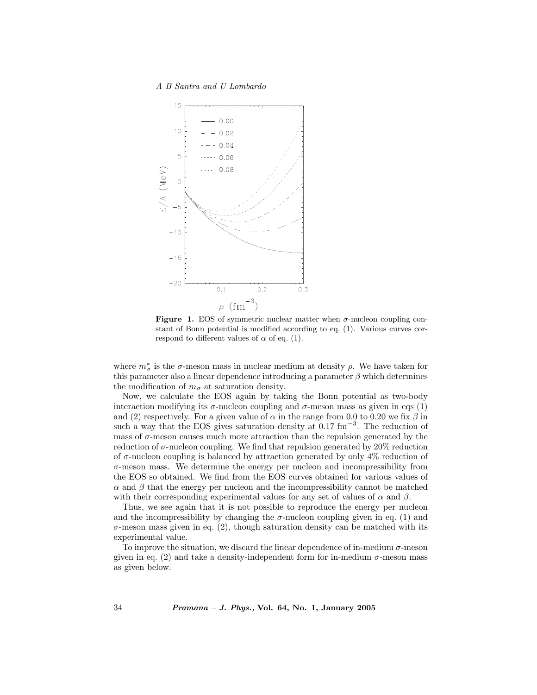A B Santra and U Lombardo



Figure 1. EOS of symmetric nuclear matter when  $\sigma$ -nucleon coupling constant of Bonn potential is modified according to eq. (1). Various curves correspond to different values of  $\alpha$  of eq. (1).

where  $m^*_{\sigma}$  is the  $\sigma$ -meson mass in nuclear medium at density  $\rho$ . We have taken for this parameter also a linear dependence introducing a parameter  $\beta$  which determines the modification of  $m_{\sigma}$  at saturation density.

Now, we calculate the EOS again by taking the Bonn potential as two-body interaction modifying its  $\sigma$ -nucleon coupling and  $\sigma$ -meson mass as given in eqs (1) and (2) respectively. For a given value of  $\alpha$  in the range from 0.0 to 0.20 we fix  $\beta$  in such a way that the EOS gives saturation density at  $0.17 \text{ fm}^{-3}$ . The reduction of mass of  $\sigma$ -meson causes much more attraction than the repulsion generated by the reduction of  $\sigma$ -nucleon coupling. We find that repulsion generated by 20% reduction of  $\sigma$ -nucleon coupling is balanced by attraction generated by only 4% reduction of  $\sigma$ -meson mass. We determine the energy per nucleon and incompressibility from the EOS so obtained. We find from the EOS curves obtained for various values of  $\alpha$  and  $\beta$  that the energy per nucleon and the incompressibility cannot be matched with their corresponding experimental values for any set of values of  $\alpha$  and  $\beta$ .

Thus, we see again that it is not possible to reproduce the energy per nucleon and the incompressibility by changing the  $\sigma$ -nucleon coupling given in eq. (1) and  $\sigma$ -meson mass given in eq. (2), though saturation density can be matched with its experimental value.

To improve the situation, we discard the linear dependence of in-medium  $\sigma$ -meson given in eq. (2) and take a density-independent form for in-medium  $\sigma$ -meson mass as given below.

34 Pramana – J. Phys., Vol. 64, No. 1, January 2005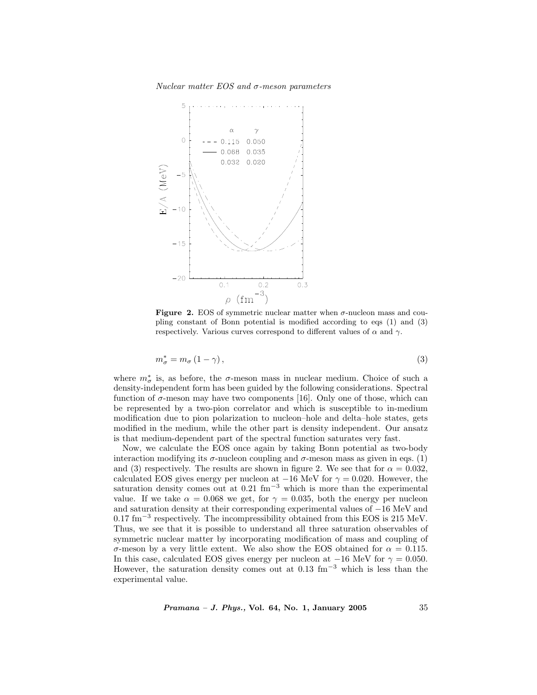Nuclear matter  $EOS$  and  $\sigma$ -meson parameters



**Figure 2.** EOS of symmetric nuclear matter when  $\sigma$ -nucleon mass and coupling constant of Bonn potential is modified according to eqs (1) and (3) respectively. Various curves correspond to different values of  $\alpha$  and  $\gamma$ .

$$
m_{\sigma}^{*} = m_{\sigma} \left( 1 - \gamma \right), \tag{3}
$$

where  $m^*_{\sigma}$  is, as before, the  $\sigma$ -meson mass in nuclear medium. Choice of such a density-independent form has been guided by the following considerations. Spectral function of  $\sigma$ -meson may have two components [16]. Only one of those, which can be represented by a two-pion correlator and which is susceptible to in-medium modification due to pion polarization to nucleon–hole and delta–hole states, gets modified in the medium, while the other part is density independent. Our ansatz is that medium-dependent part of the spectral function saturates very fast.

Now, we calculate the EOS once again by taking Bonn potential as two-body interaction modifying its  $\sigma$ -nucleon coupling and  $\sigma$ -meson mass as given in eqs. (1) and (3) respectively. The results are shown in figure 2. We see that for  $\alpha = 0.032$ , calculated EOS gives energy per nucleon at  $-16$  MeV for  $\gamma = 0.020$ . However, the saturation density comes out at 0.21 fm<sup>-3</sup> which is more than the experimental value. If we take  $\alpha = 0.068$  we get, for  $\gamma = 0.035$ , both the energy per nucleon and saturation density at their corresponding experimental values of −16 MeV and 0.17 fm<sup>−</sup><sup>3</sup> respectively. The incompressibility obtained from this EOS is 215 MeV. Thus, we see that it is possible to understand all three saturation observables of symmetric nuclear matter by incorporating modification of mass and coupling of σ-meson by a very little extent. We also show the EOS obtained for α = 0.115. In this case, calculated EOS gives energy per nucleon at  $-16$  MeV for  $\gamma = 0.050$ . However, the saturation density comes out at  $0.13 \text{ fm}^{-3}$  which is less than the experimental value.

*Pramana – J. Phys.*, Vol. 64, No. 1, January 2005  $35$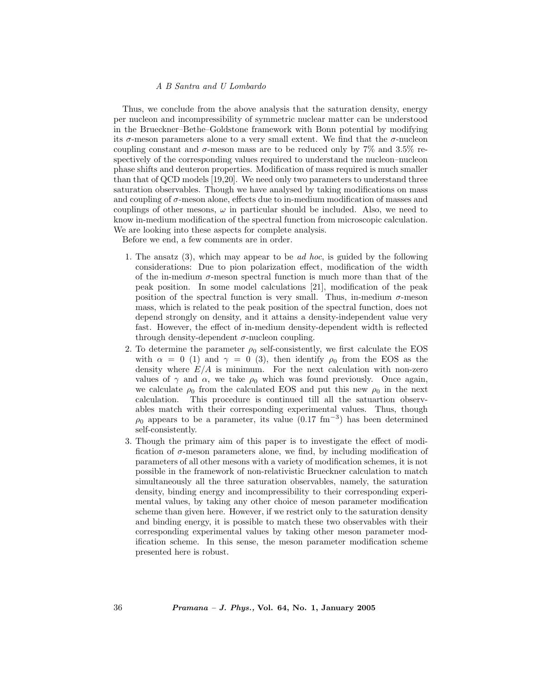#### A B Santra and U Lombardo

Thus, we conclude from the above analysis that the saturation density, energy per nucleon and incompressibility of symmetric nuclear matter can be understood in the Brueckner–Bethe–Goldstone framework with Bonn potential by modifying its  $\sigma$ -meson parameters alone to a very small extent. We find that the  $\sigma$ -nucleon coupling constant and  $\sigma$ -meson mass are to be reduced only by 7% and 3.5% respectively of the corresponding values required to understand the nucleon–nucleon phase shifts and deuteron properties. Modification of mass required is much smaller than that of QCD models [19,20]. We need only two parameters to understand three saturation observables. Though we have analysed by taking modifications on mass and coupling of  $\sigma$ -meson alone, effects due to in-medium modification of masses and couplings of other mesons,  $\omega$  in particular should be included. Also, we need to know in-medium modification of the spectral function from microscopic calculation. We are looking into these aspects for complete analysis.

Before we end, a few comments are in order.

- 1. The ansatz  $(3)$ , which may appear to be *ad hoc*, is guided by the following considerations: Due to pion polarization effect, modification of the width of the in-medium  $\sigma$ -meson spectral function is much more than that of the peak position. In some model calculations [21], modification of the peak position of the spectral function is very small. Thus, in-medium  $\sigma$ -meson mass, which is related to the peak position of the spectral function, does not depend strongly on density, and it attains a density-independent value very fast. However, the effect of in-medium density-dependent width is reflected through density-dependent  $\sigma$ -nucleon coupling.
- 2. To determine the parameter  $\rho_0$  self-consistently, we first calculate the EOS with  $\alpha = 0$  (1) and  $\gamma = 0$  (3), then identify  $\rho_0$  from the EOS as the density where  $E/A$  is minimum. For the next calculation with non-zero values of  $\gamma$  and  $\alpha$ , we take  $\rho_0$  which was found previously. Once again, we calculate  $\rho_0$  from the calculated EOS and put this new  $\rho_0$  in the next calculation. This procedure is continued till all the satuartion observables match with their corresponding experimental values. Thus, though  $\rho_0$  appears to be a parameter, its value (0.17 fm<sup>-3</sup>) has been determined self-consistently.
- 3. Though the primary aim of this paper is to investigate the effect of modification of  $\sigma$ -meson parameters alone, we find, by including modification of parameters of all other mesons with a variety of modification schemes, it is not possible in the framework of non-relativistic Brueckner calculation to match simultaneously all the three saturation observables, namely, the saturation density, binding energy and incompressibility to their corresponding experimental values, by taking any other choice of meson parameter modification scheme than given here. However, if we restrict only to the saturation density and binding energy, it is possible to match these two observables with their corresponding experimental values by taking other meson parameter modification scheme. In this sense, the meson parameter modification scheme presented here is robust.